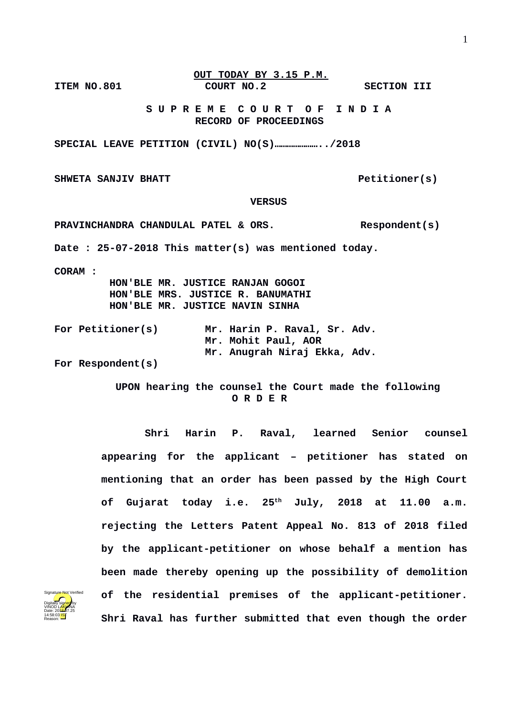## **OUT TODAY BY 3.15 P.M. ITEM NO.801 COURT NO.2 SECTION III**

 **S U P R E M E C O U R T O F I N D I A RECORD OF PROCEEDINGS**

**SPECIAL LEAVE PETITION (CIVIL) NO(S)…………………../2018**

SHWETA SANJIV BHATT **PETITIONER PETITIONER** (S)

## **VERSUS**

**PRAVINCHANDRA CHANDULAL PATEL & ORS. Respondent(s) Date : 25-07-2018 This matter(s) was mentioned today. CORAM : HON'BLE MR. JUSTICE RANJAN GOGOI HON'BLE MRS. JUSTICE R. BANUMATHI HON'BLE MR. JUSTICE NAVIN SINHA For Petitioner(s) Mr. Harin P. Raval, Sr. Adv. Mr. Mohit Paul, AOR Mr. Anugrah Niraj Ekka, Adv.** 

**For Respondent(s)** 

 **UPON hearing the counsel the Court made the following O R D E R**

**Shri Harin P. Raval, learned Senior counsel appearing for the applicant – petitioner has stated on mentioning that an order has been passed by the High Court of Gujarat today i.e. 25th July, 2018 at 11.00 a.m. rejecting the Letters Patent Appeal No. 813 of 2018 filed by the applicant-petitioner on whose behalf a mention has been made thereby opening up the possibility of demolition of the residential premises of the applicant-petitioner. Shri Raval has further submitted that even though the order**